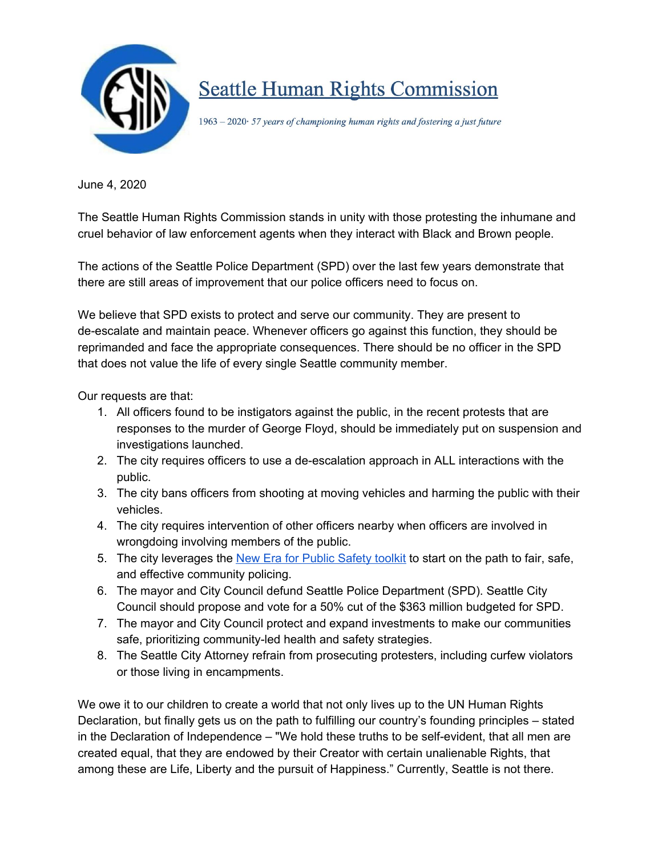

## **Seattle Human Rights Commission**

1963 - 2020 57 years of championing human rights and fostering a just future

June 4, 2020

The Seattle Human Rights Commission stands in unity with those protesting the inhumane and cruel behavior of law enforcement agents when they interact with Black and Brown people.

The actions of the Seattle Police Department (SPD) over the last few years demonstrate that there are still areas of improvement that our police officers need to focus on.

We believe that SPD exists to protect and serve our community. They are present to de-escalate and maintain peace. Whenever officers go against this function, they should be reprimanded and face the appropriate consequences. There should be no officer in the SPD that does not value the life of every single Seattle community member.

Our requests are that:

- 1. All officers found to be instigators against the public, in the recent protests that are responses to the murder of George Floyd, should be immediately put on suspension and investigations launched.
- 2. The city requires officers to use a de-escalation approach in ALL interactions with the public.
- 3. The city bans officers from shooting at moving vehicles and harming the public with their vehicles.
- 4. The city requires intervention of other officers nearby when officers are involved in wrongdoing involving members of the public.
- 5. The city leverages the New Era for Public [Safety](https://drive.google.com/file/d/1BDZe4lUXQlm-ub1FQFkTWFB404cM1Ed0/view?usp=sharing) toolkit to start on the path to fair, safe, and effective community policing.
- 6. The mayor and City Council defund Seattle Police Department (SPD). Seattle City Council should propose and vote for a 50% cut of the \$363 million budgeted for SPD.
- 7. The mayor and City Council protect and expand investments to make our communities safe, prioritizing community-led health and safety strategies.
- 8. The Seattle City Attorney refrain from prosecuting protesters, including curfew violators or those living in encampments.

We owe it to our children to create a world that not only lives up to the UN Human Rights Declaration, but finally gets us on the path to fulfilling our country's founding principles – stated in the Declaration of Independence – "We hold these truths to be self-evident, that all men are created equal, that they are endowed by their Creator with certain unalienable Rights, that among these are Life, Liberty and the pursuit of Happiness." Currently, Seattle is not there.